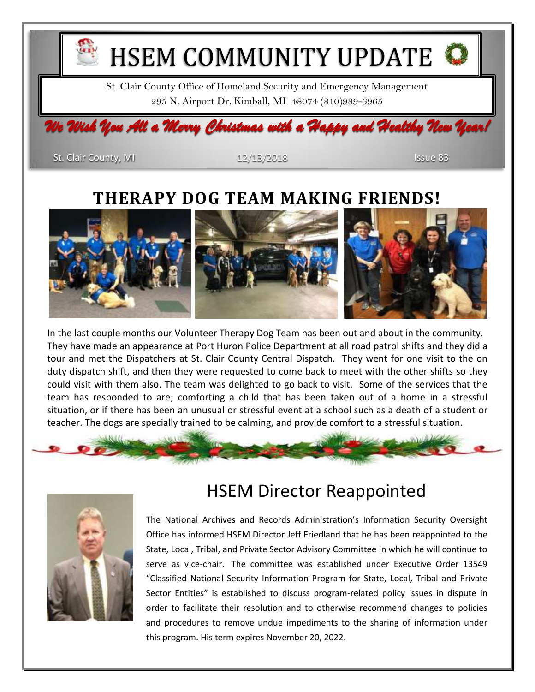

St. Clair County, MI 12/13/2018 Issue 83

### **THERAPY DOG TEAM MAKING FRIENDS!**



In the last couple months our Volunteer Therapy Dog Team has been out and about in the community. They have made an appearance at Port Huron Police Department at all road patrol shifts and they did a tour and met the Dispatchers at St. Clair County Central Dispatch. They went for one visit to the on duty dispatch shift, and then they were requested to come back to meet with the other shifts so they could visit with them also. The team was delighted to go back to visit. Some of the services that the team has responded to are; comforting a child that has been taken out of a home in a stressful situation, or if there has been an unusual or stressful event at a school such as a death of a student or teacher. The dogs are specially trained to be calming, and provide comfort to a stressful situation.





## HSEM Director Reappointed

The National Archives and Records Administration's Information Security Oversight Office has informed HSEM Director Jeff Friedland that he has been reappointed to the State, Local, Tribal, and Private Sector Advisory Committee in which he will continue to serve as vice-chair. The committee was established under Executive Order 13549 "Classified National Security Information Program for State, Local, Tribal and Private Sector Entities" is established to discuss program-related policy issues in dispute in order to facilitate their resolution and to otherwise recommend changes to policies and procedures to remove undue impediments to the sharing of information under this program. His term expires November 20, 2022.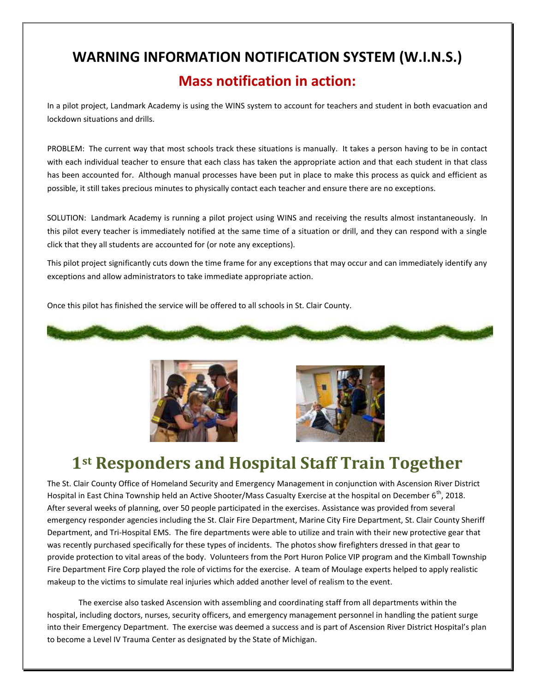# **WARNING INFORMATION NOTIFICATION SYSTEM (W.I.N.S.) Mass notification in action:**

In a pilot project, Landmark Academy is using the WINS system to account for teachers and student in both evacuation and lockdown situations and drills.

PROBLEM: The current way that most schools track these situations is manually. It takes a person having to be in contact with each individual teacher to ensure that each class has taken the appropriate action and that each student in that class has been accounted for. Although manual processes have been put in place to make this process as quick and efficient as possible, it still takes precious minutes to physically contact each teacher and ensure there are no exceptions.

SOLUTION: Landmark Academy is running a pilot project using WINS and receiving the results almost instantaneously. In this pilot every teacher is immediately notified at the same time of a situation or drill, and they can respond with a single click that they all students are accounted for (or note any exceptions).

This pilot project significantly cuts down the time frame for any exceptions that may occur and can immediately identify any exceptions and allow administrators to take immediate appropriate action.

Once this pilot has finished the service will be offered to all schools in St. Clair County.







# **1st Responders and Hospital Staff Train Together**

The St. Clair County Office of Homeland Security and Emergency Management in conjunction with Ascension River District Hospital in East China Township held an Active Shooter/Mass Casualty Exercise at the hospital on December  $6^{th}$ , 2018. After several weeks of planning, over 50 people participated in the exercises. Assistance was provided from several emergency responder agencies including the St. Clair Fire Department, Marine City Fire Department, St. Clair County Sheriff Department, and Tri-Hospital EMS. The fire departments were able to utilize and train with their new protective gear that was recently purchased specifically for these types of incidents. The photos show firefighters dressed in that gear to provide protection to vital areas of the body. Volunteers from the Port Huron Police VIP program and the Kimball Township Fire Department Fire Corp played the role of victims for the exercise. A team of Moulage experts helped to apply realistic makeup to the victims to simulate real injuries which added another level of realism to the event.

 The exercise also tasked Ascension with assembling and coordinating staff from all departments within the hospital, including doctors, nurses, security officers, and emergency management personnel in handling the patient surge into their Emergency Department. The exercise was deemed a success and is part of Ascension River District Hospital's plan to become a Level IV Trauma Center as designated by the State of Michigan.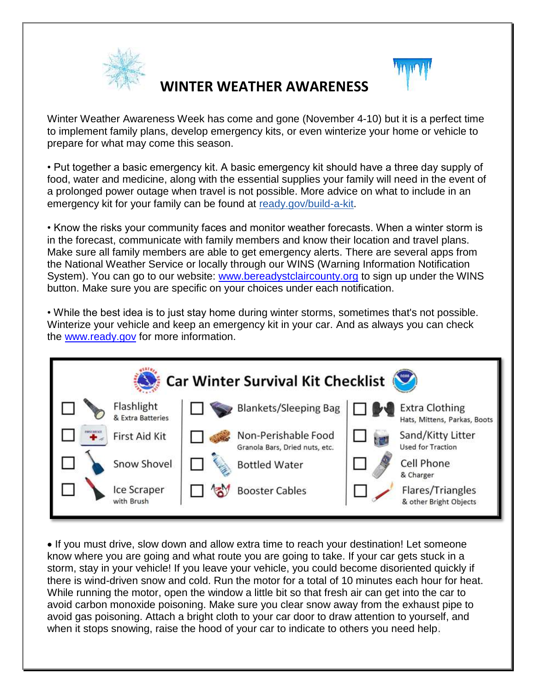

### **WINTER WEATHER AWARENESS**



• Put together a basic emergency kit. A basic emergency kit should have a three day supply of food, water and medicine, along with the essential supplies your family will need in the event of a prolonged power outage when travel is not possible. More advice on what to include in an emergency kit for your family can be found at [ready.gov/build-a-kit.](http://ready.gov/build-a-kit)

• Know the risks your community faces and monitor weather forecasts. When a winter storm is in the forecast, communicate with family members and know their location and travel plans. Make sure all family members are able to get emergency alerts. There are several apps from the National Weather Service or locally through our WINS (Warning Information Notification System). You can go to our website: [www.bereadystclaircounty.org](http://www.bereadystclaircounty.org/) to sign up under the WINS button. Make sure you are specific on your choices under each notification.

• While the best idea is to just stay home during winter storms, sometimes that's not possible. Winterize your vehicle and keep an emergency kit in your car. And as always you can check the [www.ready.gov](http://www.ready.gov/) for more information.



• If you must drive, slow down and allow extra time to reach your destination! Let someone know where you are going and what route you are going to take. If your car gets stuck in a storm, stay in your vehicle! If you leave your vehicle, you could become disoriented quickly if there is wind-driven snow and cold. Run the motor for a total of 10 minutes each hour for heat. While running the motor, open the window a little bit so that fresh air can get into the car to avoid carbon monoxide poisoning. Make sure you clear snow away from the exhaust pipe to avoid gas poisoning. Attach a bright cloth to your car door to draw attention to yourself, and when it stops snowing, raise the hood of your car to indicate to others you need help.